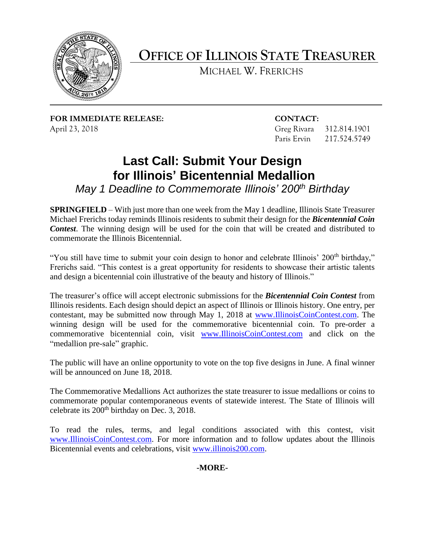

## **OFFICE OF ILLINOIS STATE TREASURER**

MICHAEL W. FRERICHS

**FOR IMMEDIATE RELEASE: CONTACT:**  April 23, 2018 Greg Rivara 312.814.1901

Paris Ervin 217.524.5749

## **Last Call: Submit Your Design for Illinois' Bicentennial Medallion**

*May 1 Deadline to Commemorate Illinois' 200th Birthday* 

 Michael Frerichs today reminds Illinois residents to submit their design for the *Bicentennial Coin Contest*. The winning design will be used for the coin that will be created and distributed to **SPRINGFIELD** – With just more than one week from the May 1 deadline, Illinois State Treasurer commemorate the Illinois Bicentennial.

 Frerichs said. "This contest is a great opportunity for residents to showcase their artistic talents and design a bicentennial coin illustrative of the beauty and history of Illinois." "You still have time to submit your coin design to honor and celebrate Illinois' 200<sup>th</sup> birthday,"

The treasurer's office will accept electronic submissions for the *Bicentennial Coin Contest* from Illinois residents. Each design should depict an aspect of Illinois or Illinois history. One entry, per contestant, may be submitted now through May 1, 2018 at [www.IllinoisCoinContest.com.](http://www.illinoiscoincontest.com/) The winning design will be used for the commemorative bicentennial coin. To pre-order a commemorative bicentennial coin, visit [www.IllinoisCoinContest.com](http://www.illinoiscoincontest.com/) and click on the "medallion pre-sale" graphic.

 The public will have an online opportunity to vote on the top five designs in June. A final winner will be announced on June 18, 2018.

 commemorate popular contemporaneous events of statewide interest. The State of Illinois will The Commemorative Medallions Act authorizes the state treasurer to issue medallions or coins to celebrate its  $200<sup>th</sup>$  birthday on Dec. 3, 2018.

To read the rules, terms, and legal conditions associated with this contest, visit [www.IllinoisCoinContest.com.](http://www.illinoiscoincontest.com/) For more information and to follow updates about the Illinois Bicentennial events and celebrations, visit [www.illinois200.com.](http://www.illinois200.com/)

**-MORE-**